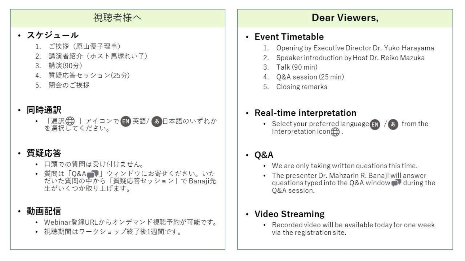# 視聴者様へ

# ・ スケジュール

- 1. ご挨拶 (原山優子理事)
- 2. 講演者紹介 (ホスト馬塚れい子)
- 3. 講演(90分)
- 4. 質疑応答セッション(25分)
- 5. 閉会のご挨拶
- 同時通訳
	- 「通訳 + 」アイコンで EN 英語/あ日本語のいずれか を選択してください。

# ・ 質疑応答

- 口頭での質問は受け付けません。
- 質問は「Q&A」)」ウィンドウにお寄せください。いた<br>だいた質問の中から「質疑応答セッション」でBanaji先 生がいくつか取り上げます。

# 動画配信

- Webinar登録URLからオンデマンド視聴予約が可能です。
- 視聴期間はワークショップ終了後1週間です。

# **Dear Viewers,**

#### • Event Timetable

- 1. Opening by Executive Director Dr. Yuko Harayama
- 2. Speaker introduction by Host Dr. Reiko Mazuka
- 3. Talk (90 min)
- 4. O&A session (25 min)
- 5. Closing remarks

# • Real-time interpretation

• Select your preferred language  $\epsilon_N$  /  $\phi$  from the Interpretation icon $\bigoplus$ .

# • 0&A

- We are only taking written questions this time.
- The presenter Dr. Mahzarin R. Banaji will answer questions typed into the Q&A window we during the O&A session.

# • Video Streaming

• Recorded video will be available today for one week via the registration site.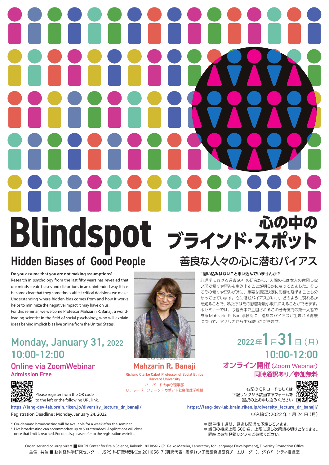# **Blindspot** Hidden Biases of Good People 心の中の ブラインド・スポット 善良な人々の心に潜むバイアス

#### **Do you assume that you are not making assumptions?**

Research in psychology from the last fifty years has revealed that our minds create biases and distortions in an unintended way. It has become clear that they sometimes affect critical decisions we make. Understanding where hidden bias comes from and how it works helps to minimize the negative impact it may have on us.

For this seminar, we welcome Professor Mahzarin R. Banaji, a worldleading scientist in the field of social psychology, who will explain ideas behind implicit bias live online from the United States.

#### 10:00-12:00 10:00-12:00 Monday, January 31, 2022

#### Online via ZoomWebinar Admission Free

回路

Please register from the QR code to the left or the following URL link.

**https://lang-dev-lab.brain.riken.jp/diversity\_lecture\_dr\_banaji/ https://lang-dev-lab.brain.riken.jp/diversity\_lecture\_dr\_banaji/** 

Registration Deadline : Monday, January 24, 2022

\* On-demand broadcasting will be available for a week after the seminar. \* Live broadcasting can accommodate up to 500 attendees. Applications will close once that limit is reached. For details, please refer to the registration website.

#### **"思い込みはない "と思い込んでいませんか?**

心理学における過去50年の研究から、人間の心は本人の意図しな い形で偏りや歪みを生み出すことが明らかになってきました。そし てその偏りや歪みが時に、重要な意思決定に影響を及ぼすことも分 かってきています。心に潜むバイアスがいつ、どのように現れるか を知ることで、私たちはその影響を最小限に抑えることができます。 本セミナーでは、今世界中で注目されるこの分野研究の第一人者で ある Mahzarin R. Banaji 教授に、暗黙のバイアスが生まれる背景 について、アメリカから生解説いただきます。

# $2022 \pm 1 \pm 31$   $\pm$  (月)

#### **オンライン開催**(Zoom Webinar) **同時通訳あり/参加無料**



リチャード・クラーク・カボット社会倫理学教授 インファイン 右記の QR コードもしくは 下記リンクから該当するフォームを 選択の上お申し込みください ■

申込締切:2022 年 1 月 24 日(月)

\* 開催後 1 週間、見逃し配信を予定しています。

\* 当日の接続上限 500 名。上限に達し次第締め切りとなります。 詳細は参加登録リンクをご参照ください。



**Mahzarin R. Banaji** Richard Clarke Cabot Professor of Social Ethics Harvard University ハーバード大学心理学部